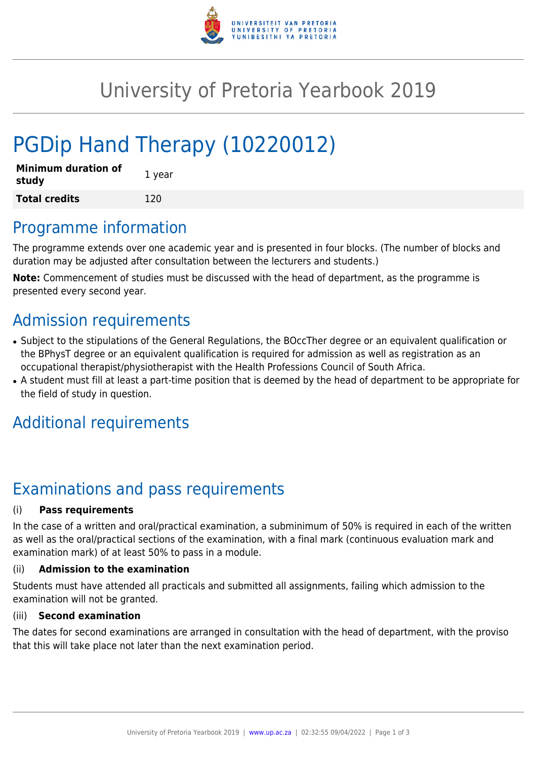

## University of Pretoria Yearbook 2019

# PGDip Hand Therapy (10220012)

| Minimum duration of<br>study | 1 year |
|------------------------------|--------|
| <b>Total credits</b>         | 120    |

### Programme information

The programme extends over one academic year and is presented in four blocks. (The number of blocks and duration may be adjusted after consultation between the lecturers and students.)

**Note:** Commencement of studies must be discussed with the head of department, as the programme is presented every second year.

### Admission requirements

- Subject to the stipulations of the General Regulations, the BOccTher degree or an equivalent qualification or the BPhysT degree or an equivalent qualification is required for admission as well as registration as an occupational therapist/physiotherapist with the Health Professions Council of South Africa.
- A student must fill at least a part-time position that is deemed by the head of department to be appropriate for the field of study in question.

### Additional requirements

### Examinations and pass requirements

#### (i) **Pass requirements**

In the case of a written and oral/practical examination, a subminimum of 50% is required in each of the written as well as the oral/practical sections of the examination, with a final mark (continuous evaluation mark and examination mark) of at least 50% to pass in a module.

#### (ii) **Admission to the examination**

Students must have attended all practicals and submitted all assignments, failing which admission to the examination will not be granted.

#### (iii) **Second examination**

The dates for second examinations are arranged in consultation with the head of department, with the proviso that this will take place not later than the next examination period.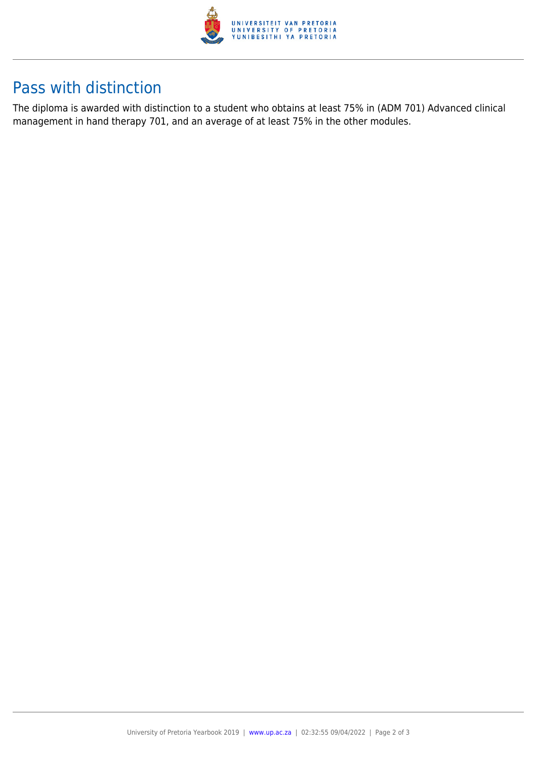

### Pass with distinction

The diploma is awarded with distinction to a student who obtains at least 75% in (ADM 701) Advanced clinical management in hand therapy 701, and an average of at least 75% in the other modules.